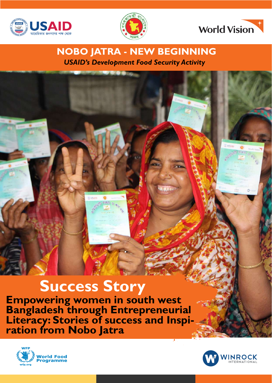





## *USAID's Development Food Security Activity* **NOBO JATRA - NEW BEGINNING**

# **Success Story**

**Empowering women in south west Bangladesh through Entrepreneurial Literacy: Stories of success and Inspi- ration from Nobo Jatra** 



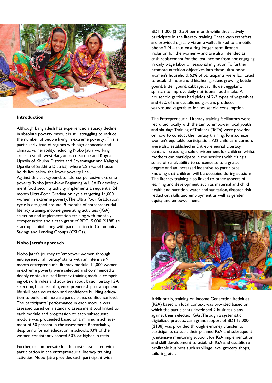

#### **Introduction**

Although Bangladesh has experienced a steady decline in absolute poverty rates, it is still struggling to reduce the number of people living in extreme poverty . This is particularly true of regions with high economic and climatic vulnerability, including Nobo Jatra working areas in south west Bangladesh (Dacope and Koyra Upazila of Khulna District and Shyamnagar and Kaliganj Upazila of Satkhira District), where 25-34% of households live below the lower poverty line .

Against this background, to address pervasive extreme poverty, 'Nobo Jatra-New Beginning'-a USAID development food security activity, implements a sequential 24 month Ultra-Poor Graduation cycle targeting 14,000 women in extreme poverty. The Ultra Poor Graduation cycle is designed around 9 months of entrepreneurial literacy training, income generating activities (IGA) selection and implementation training with monthly compensation and a cash grant of BDT.15,000 (\$188) as start-up capital along with participation in Community Savings and Lending Groups (CSLGs).

#### **Nobo Jatra's approach**

Nobo Jatra's journey to 'empower women through entrepreneurial literacy' starts with an intensive 9 month entrepreneurial literacy module. 14,000 women in extreme poverty were selected and commenced a deeply contextualized literacy training module comprising of: skills, rules and activities about basic literacy, IGA selection, business plan, entrepreneurship development, life skill base education and confidence building education to build and increase participant's confidence level. The participants' performance in each module was assessed based on a standard assessment tool linked to each module and progression to each subsequent module was proceeded based on a minimum achievement of 60 percent in the assessment. Remarkably, despite no formal education in schools, 93% of the women consistently scored 60% or higher in tests.

Further, to compensate for the costs associated with participation in the entrepreneurial literacy training activities, Nobo Jatra provides each participant with

BDT 1,000 (\$12.50) per month while they actively participate in the literacy training. These cash transfers are provided digitally via an e wallet linked to a mobile phone SIM – thus ensuring longer term financial inclusion for the women – and are also intended as cash replacement for the lost income from not engaging in daily wage labor or seasonal migration. To further promote nutrition objectives into these ultra-poor women's household, 62% of participants were facilitated to establish household kitchen gardens growing bottle gourd, bitter gourd, cabbage, cauliflower, eggplant, spinach to improve daily nutritional food intake. All household gardens had yields of 2-3 types of vegetables and 65% of the established gardens produced year-round vegetables for household consumption.

The Entrepreneurial Literacy training facilitators were recruited locally with the aim to empower local youth and six-days Training of Trainers (ToTs) were provided on how to conduct the literacy training. To maximize women's equitable participation, 722 child care corners were also established in Entrepreneurial Literacy centers - creating a safe environment for children whilst mothers can participate in the sessions with citing a sense of relief, ability to concentrate to a greater degree and an increased incentive to participate knowing that children will be occupied during sessions. The literacy training also linked to other aspects of learning and development, such as maternal and child health and nutrition, water and sanitation, disaster risk reduction, skills and employment as well as gender equity and empowerment.



Additionally, training on Income Generation Activities (IGA) based on local context was provided based on which the participants developed 2 business plans against their selected IGAs. Through a systematic digitalized process, cash grant support of BDT15,000 (\$188) was provided through e-money transfer to participants to start their planned IGA and subsequently, intensive mentoring support for IGA implementation and skill development to establish IGA and establish a profitable business such as village level grocery shops, tailoring etc. .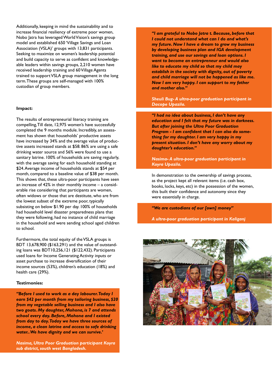Additionally, keeping in mind the sustainability and to increase financial resiliency of extreme poor women, Nobo Jatra has leveraged World Vision's savings group model and established 650 'Village Savings and Loan Association (VSLA)' groups with 13,831 participants. Seeking to maximize on women's leadership potential and build capacity to serve as confident and knowledgeable leaders within savings groups, 2,210 women have received leadership training and 60 Village Agents trained to support VSLA group management in the long term. These groups are self-managed with 100% custodian of group members.

#### **Impact:**

The results of entrepreneurial literacy training are compelling, Till date, 12,975 women's have successfully completed the 9 months module. Incredibly, an assessment has shown that households' productive assets have increased by 34% and the average value of productive assets increased stands at \$58. 86% are using a safe drinking water source and 56% were found to use a sanitary latrine. 100% of households are saving regularly, with the average saving for each household standing at \$24. Average income of households stands at \$54 per month, compared to a baseline value of \$38 per month. This shows that, these ultra-poor participants have seen an increase of 42% in their monthly income – a considerable rise considering that participants are women, often widows or those that are destitute, who are from the lowest subset of the extreme poor, typically subsisting on below \$1.90 per day. 100% of households had household level disaster preparedness plans that they were following, had no instance of child marriage in the household and were sending school aged children to school.

Furthermore, the total equity of the VSLA groups is BDT 13,678,900 (\$163,291) and the value of outstanding loans was BDT10,256,121 (\$122,432). Participants used loans for Income Generating Activity inputs or asset purchase to increase diversification of their income sources (53%), children's education (18%) and health care (29%).

#### **Testimonies:**

*"Before I used to work as a day labourer. Today I earn \$42 per month from my tailoring business, \$20 from my vegetable selling business and I also have two goats. My daughter, Mohona, is 7 and attends school every day. Before, Mohona and I existed from day to day. Today we have three sources of income, a clean latrine and access to safe drinking water.. We have dignity and we can survive.'* 

*Nasima, Ultra Poor Graduation participant Koyra sub district, south west Bangladesh.*

*"I am grateful to Nobo Jatra t. Because, before that I could not understand what can I do and what's my future. Now I have a dream to grow my business by developing business plan and IGA development training, and use our savings and loan options. I want to become an entrepreneur and would also like to educate my child so that my child may establish in the society with dignity, out of poverty and child marriage will not be happened as like me. Now I am very happy. I can support to my father and mother also."* 

*Sheuli Bug- A ultra-poor graduation participant in Dacope Upazila.*

j.

*"I had no idea about business, I don't have any education and I felt that my future was in darkness. But after joining the Ultra Poor Graduation Program - I am confident that I can also do something for my daughter. I am very happy in my present situation. I don't have any worry about my daughter's education."*

*Nasima- A ultra-poor graduation participant in Koyra Upazila.*

In demonstration to the ownership of savings process, as the project kept all relevant items (i.e. cash box, books, locks, keys, etc) in the possession of the women, this built their confidence and autonomy since they were essentially in charge.

*"We are custodians of our [own] money"*

*A ultra-poor graduation participant in Kaliganj*